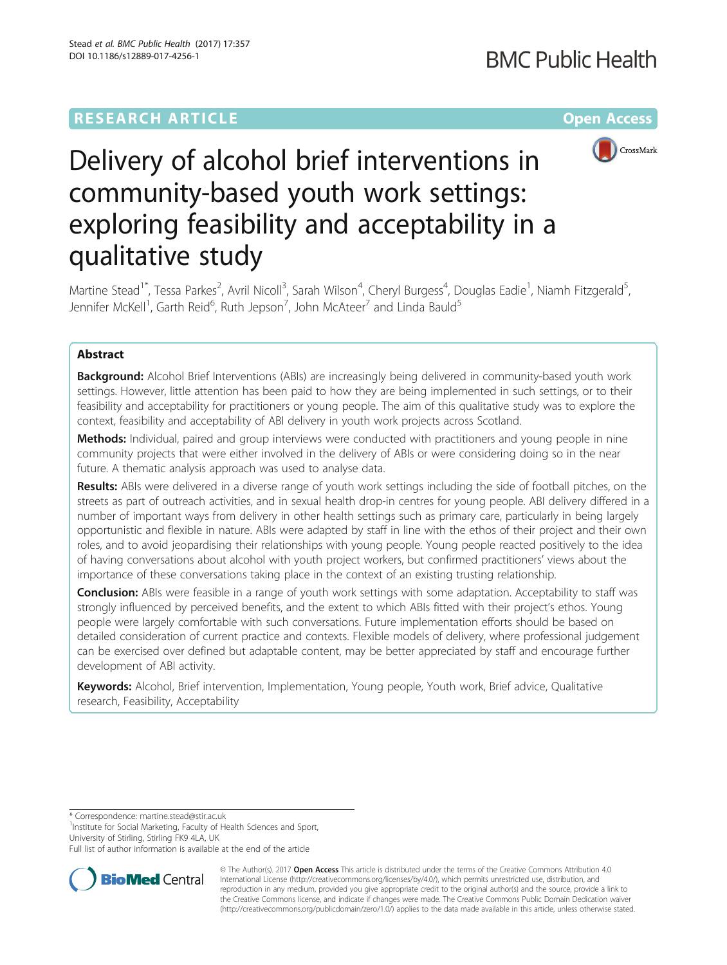## **RESEARCH ARTICLE Example 2014 12:30 The Company Access** (RESEARCH ARTICLE



# Delivery of alcohol brief interventions in community-based youth work settings: exploring feasibility and acceptability in a qualitative study

Martine Stead<sup>1\*</sup>, Tessa Parkes<sup>2</sup>, Avril Nicoll<sup>3</sup>, Sarah Wilson<sup>4</sup>, Cheryl Burgess<sup>4</sup>, Douglas Eadie<sup>1</sup>, Niamh Fitzgerald<sup>5</sup> , Jennifer McKell<sup>1</sup>, Garth Reid<sup>6</sup>, Ruth Jepson<sup>7</sup>, John McAteer<sup>7</sup> and Linda Bauld<sup>5</sup>

## Abstract

**Background:** Alcohol Brief Interventions (ABIs) are increasingly being delivered in community-based youth work settings. However, little attention has been paid to how they are being implemented in such settings, or to their feasibility and acceptability for practitioners or young people. The aim of this qualitative study was to explore the context, feasibility and acceptability of ABI delivery in youth work projects across Scotland.

Methods: Individual, paired and group interviews were conducted with practitioners and young people in nine community projects that were either involved in the delivery of ABIs or were considering doing so in the near future. A thematic analysis approach was used to analyse data.

Results: ABIs were delivered in a diverse range of youth work settings including the side of football pitches, on the streets as part of outreach activities, and in sexual health drop-in centres for young people. ABI delivery differed in a number of important ways from delivery in other health settings such as primary care, particularly in being largely opportunistic and flexible in nature. ABIs were adapted by staff in line with the ethos of their project and their own roles, and to avoid jeopardising their relationships with young people. Young people reacted positively to the idea of having conversations about alcohol with youth project workers, but confirmed practitioners' views about the importance of these conversations taking place in the context of an existing trusting relationship.

Conclusion: ABIs were feasible in a range of youth work settings with some adaptation. Acceptability to staff was strongly influenced by perceived benefits, and the extent to which ABIs fitted with their project's ethos. Young people were largely comfortable with such conversations. Future implementation efforts should be based on detailed consideration of current practice and contexts. Flexible models of delivery, where professional judgement can be exercised over defined but adaptable content, may be better appreciated by staff and encourage further development of ABI activity.

Keywords: Alcohol, Brief intervention, Implementation, Young people, Youth work, Brief advice, Qualitative research, Feasibility, Acceptability

\* Correspondence: [martine.stead@stir.ac.uk](mailto:martine.stead@stir.ac.uk) <sup>1</sup>

<sup>1</sup>Institute for Social Marketing, Faculty of Health Sciences and Sport, University of Stirling, Stirling FK9 4LA, UK

Full list of author information is available at the end of the article



© The Author(s). 2017 **Open Access** This article is distributed under the terms of the Creative Commons Attribution 4.0 International License [\(http://creativecommons.org/licenses/by/4.0/](http://creativecommons.org/licenses/by/4.0/)), which permits unrestricted use, distribution, and reproduction in any medium, provided you give appropriate credit to the original author(s) and the source, provide a link to the Creative Commons license, and indicate if changes were made. The Creative Commons Public Domain Dedication waiver [\(http://creativecommons.org/publicdomain/zero/1.0/](http://creativecommons.org/publicdomain/zero/1.0/)) applies to the data made available in this article, unless otherwise stated.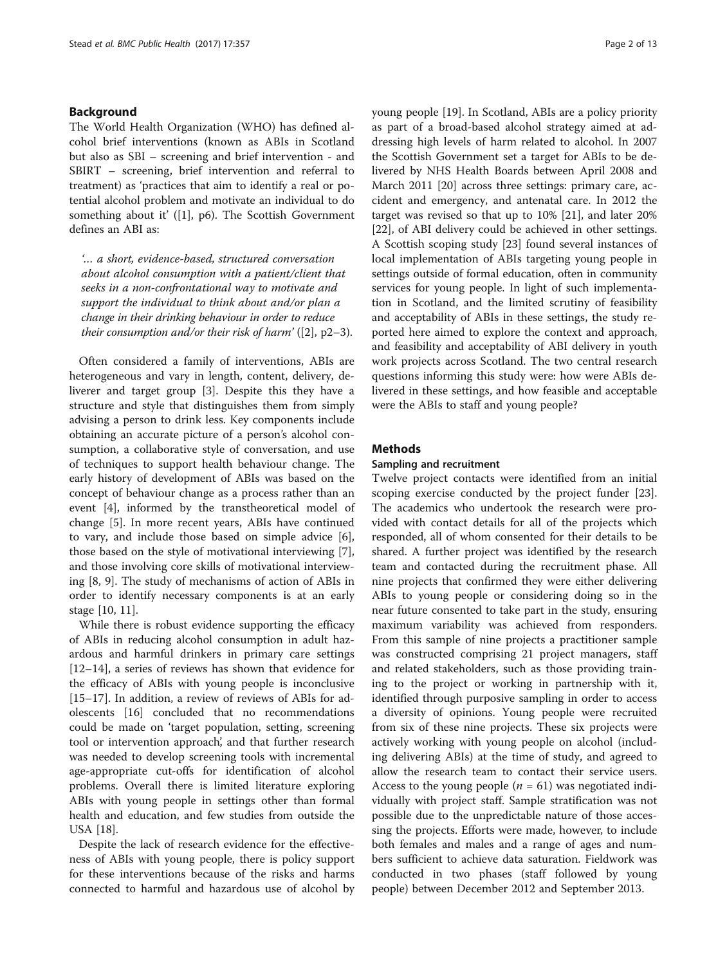## Background

The World Health Organization (WHO) has defined alcohol brief interventions (known as ABIs in Scotland but also as SBI – screening and brief intervention - and SBIRT – screening, brief intervention and referral to treatment) as 'practices that aim to identify a real or potential alcohol problem and motivate an individual to do something about it' ([\[1](#page-11-0)], p6). The Scottish Government defines an ABI as:

'… a short, evidence-based, structured conversation about alcohol consumption with a patient/client that seeks in a non-confrontational way to motivate and support the individual to think about and/or plan a change in their drinking behaviour in order to reduce their consumption and/or their risk of harm'  $(2, p2-3)$  $(2, p2-3)$  $(2, p2-3)$ .

Often considered a family of interventions, ABIs are heterogeneous and vary in length, content, delivery, deliverer and target group [[3\]](#page-11-0). Despite this they have a structure and style that distinguishes them from simply advising a person to drink less. Key components include obtaining an accurate picture of a person's alcohol consumption, a collaborative style of conversation, and use of techniques to support health behaviour change. The early history of development of ABIs was based on the concept of behaviour change as a process rather than an event [[4\]](#page-11-0), informed by the transtheoretical model of change [[5\]](#page-11-0). In more recent years, ABIs have continued to vary, and include those based on simple advice [\[6](#page-11-0)], those based on the style of motivational interviewing [\[7](#page-11-0)], and those involving core skills of motivational interviewing [[8, 9\]](#page-11-0). The study of mechanisms of action of ABIs in order to identify necessary components is at an early stage [\[10](#page-11-0), [11\]](#page-11-0).

While there is robust evidence supporting the efficacy of ABIs in reducing alcohol consumption in adult hazardous and harmful drinkers in primary care settings [[12](#page-11-0)–[14](#page-11-0)], a series of reviews has shown that evidence for the efficacy of ABIs with young people is inconclusive [[15](#page-11-0)–[17](#page-11-0)]. In addition, a review of reviews of ABIs for adolescents [[16](#page-11-0)] concluded that no recommendations could be made on 'target population, setting, screening tool or intervention approach', and that further research was needed to develop screening tools with incremental age-appropriate cut-offs for identification of alcohol problems. Overall there is limited literature exploring ABIs with young people in settings other than formal health and education, and few studies from outside the USA [[18\]](#page-11-0).

Despite the lack of research evidence for the effectiveness of ABIs with young people, there is policy support for these interventions because of the risks and harms connected to harmful and hazardous use of alcohol by young people [[19](#page-11-0)]. In Scotland, ABIs are a policy priority as part of a broad-based alcohol strategy aimed at addressing high levels of harm related to alcohol. In 2007 the Scottish Government set a target for ABIs to be delivered by NHS Health Boards between April 2008 and March 2011 [[20](#page-11-0)] across three settings: primary care, accident and emergency, and antenatal care. In 2012 the target was revised so that up to 10% [\[21\]](#page-11-0), and later 20% [[22\]](#page-11-0), of ABI delivery could be achieved in other settings. A Scottish scoping study [[23](#page-11-0)] found several instances of local implementation of ABIs targeting young people in settings outside of formal education, often in community services for young people. In light of such implementation in Scotland, and the limited scrutiny of feasibility and acceptability of ABIs in these settings, the study reported here aimed to explore the context and approach, and feasibility and acceptability of ABI delivery in youth work projects across Scotland. The two central research questions informing this study were: how were ABIs delivered in these settings, and how feasible and acceptable were the ABIs to staff and young people?

#### **Methods**

#### Sampling and recruitment

Twelve project contacts were identified from an initial scoping exercise conducted by the project funder [\[23](#page-11-0)]. The academics who undertook the research were provided with contact details for all of the projects which responded, all of whom consented for their details to be shared. A further project was identified by the research team and contacted during the recruitment phase. All nine projects that confirmed they were either delivering ABIs to young people or considering doing so in the near future consented to take part in the study, ensuring maximum variability was achieved from responders. From this sample of nine projects a practitioner sample was constructed comprising 21 project managers, staff and related stakeholders, such as those providing training to the project or working in partnership with it, identified through purposive sampling in order to access a diversity of opinions. Young people were recruited from six of these nine projects. These six projects were actively working with young people on alcohol (including delivering ABIs) at the time of study, and agreed to allow the research team to contact their service users. Access to the young people ( $n = 61$ ) was negotiated individually with project staff. Sample stratification was not possible due to the unpredictable nature of those accessing the projects. Efforts were made, however, to include both females and males and a range of ages and numbers sufficient to achieve data saturation. Fieldwork was conducted in two phases (staff followed by young people) between December 2012 and September 2013.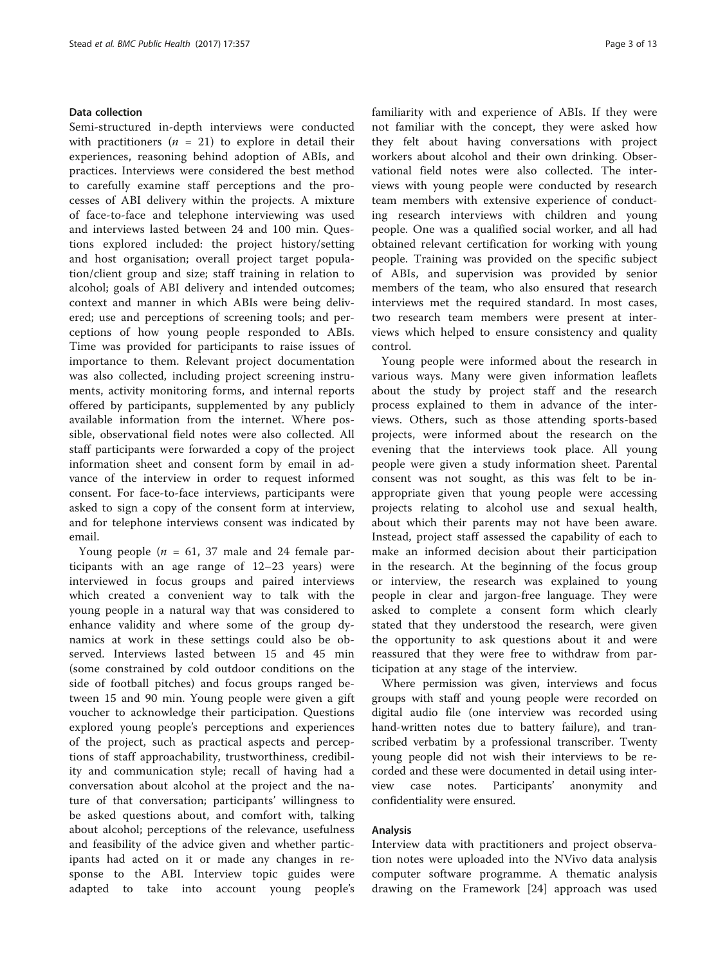## Data collection

Semi-structured in-depth interviews were conducted with practitioners ( $n = 21$ ) to explore in detail their experiences, reasoning behind adoption of ABIs, and practices. Interviews were considered the best method to carefully examine staff perceptions and the processes of ABI delivery within the projects. A mixture of face-to-face and telephone interviewing was used and interviews lasted between 24 and 100 min. Questions explored included: the project history/setting and host organisation; overall project target population/client group and size; staff training in relation to alcohol; goals of ABI delivery and intended outcomes; context and manner in which ABIs were being delivered; use and perceptions of screening tools; and perceptions of how young people responded to ABIs. Time was provided for participants to raise issues of importance to them. Relevant project documentation was also collected, including project screening instruments, activity monitoring forms, and internal reports offered by participants, supplemented by any publicly available information from the internet. Where possible, observational field notes were also collected. All staff participants were forwarded a copy of the project information sheet and consent form by email in advance of the interview in order to request informed consent. For face-to-face interviews, participants were asked to sign a copy of the consent form at interview, and for telephone interviews consent was indicated by email.

Young people ( $n = 61$ , 37 male and 24 female participants with an age range of 12–23 years) were interviewed in focus groups and paired interviews which created a convenient way to talk with the young people in a natural way that was considered to enhance validity and where some of the group dynamics at work in these settings could also be observed. Interviews lasted between 15 and 45 min (some constrained by cold outdoor conditions on the side of football pitches) and focus groups ranged between 15 and 90 min. Young people were given a gift voucher to acknowledge their participation. Questions explored young people's perceptions and experiences of the project, such as practical aspects and perceptions of staff approachability, trustworthiness, credibility and communication style; recall of having had a conversation about alcohol at the project and the nature of that conversation; participants' willingness to be asked questions about, and comfort with, talking about alcohol; perceptions of the relevance, usefulness and feasibility of the advice given and whether participants had acted on it or made any changes in response to the ABI. Interview topic guides were adapted to take into account young people's familiarity with and experience of ABIs. If they were not familiar with the concept, they were asked how they felt about having conversations with project workers about alcohol and their own drinking. Observational field notes were also collected. The interviews with young people were conducted by research team members with extensive experience of conducting research interviews with children and young people. One was a qualified social worker, and all had obtained relevant certification for working with young people. Training was provided on the specific subject of ABIs, and supervision was provided by senior members of the team, who also ensured that research interviews met the required standard. In most cases, two research team members were present at interviews which helped to ensure consistency and quality control.

Young people were informed about the research in various ways. Many were given information leaflets about the study by project staff and the research process explained to them in advance of the interviews. Others, such as those attending sports-based projects, were informed about the research on the evening that the interviews took place. All young people were given a study information sheet. Parental consent was not sought, as this was felt to be inappropriate given that young people were accessing projects relating to alcohol use and sexual health, about which their parents may not have been aware. Instead, project staff assessed the capability of each to make an informed decision about their participation in the research. At the beginning of the focus group or interview, the research was explained to young people in clear and jargon-free language. They were asked to complete a consent form which clearly stated that they understood the research, were given the opportunity to ask questions about it and were reassured that they were free to withdraw from participation at any stage of the interview.

Where permission was given, interviews and focus groups with staff and young people were recorded on digital audio file (one interview was recorded using hand-written notes due to battery failure), and transcribed verbatim by a professional transcriber. Twenty young people did not wish their interviews to be recorded and these were documented in detail using interview case notes. Participants' anonymity and confidentiality were ensured.

## Analysis

Interview data with practitioners and project observation notes were uploaded into the NVivo data analysis computer software programme. A thematic analysis drawing on the Framework [\[24](#page-11-0)] approach was used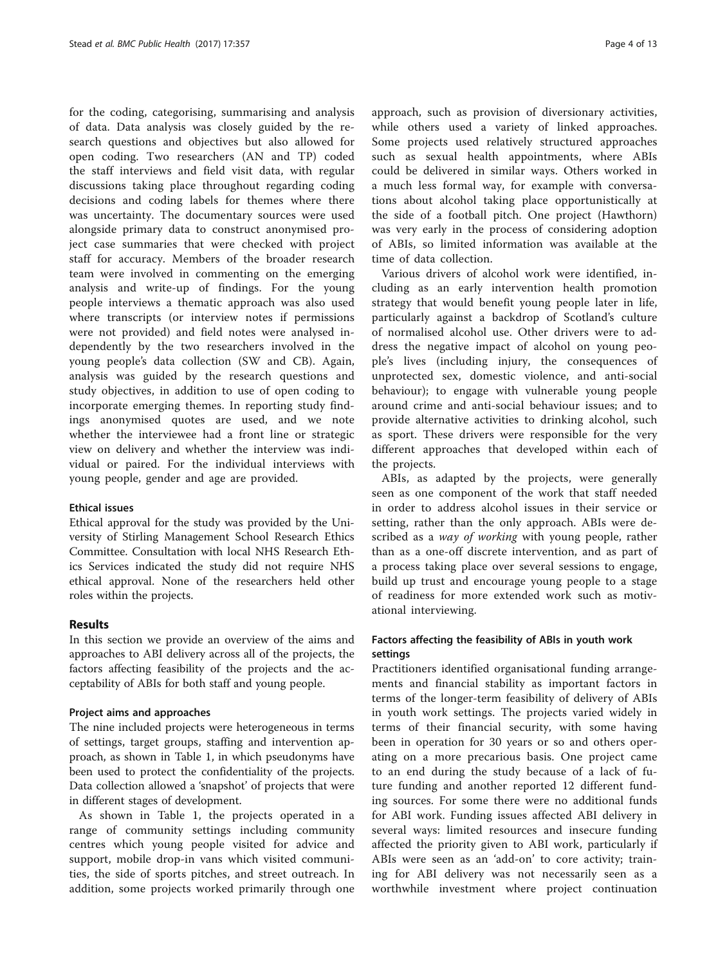for the coding, categorising, summarising and analysis of data. Data analysis was closely guided by the research questions and objectives but also allowed for open coding. Two researchers (AN and TP) coded the staff interviews and field visit data, with regular discussions taking place throughout regarding coding decisions and coding labels for themes where there was uncertainty. The documentary sources were used alongside primary data to construct anonymised project case summaries that were checked with project staff for accuracy. Members of the broader research team were involved in commenting on the emerging analysis and write-up of findings. For the young people interviews a thematic approach was also used where transcripts (or interview notes if permissions were not provided) and field notes were analysed independently by the two researchers involved in the young people's data collection (SW and CB). Again, analysis was guided by the research questions and study objectives, in addition to use of open coding to incorporate emerging themes. In reporting study findings anonymised quotes are used, and we note whether the interviewee had a front line or strategic view on delivery and whether the interview was individual or paired. For the individual interviews with young people, gender and age are provided.

#### Ethical issues

Ethical approval for the study was provided by the University of Stirling Management School Research Ethics Committee. Consultation with local NHS Research Ethics Services indicated the study did not require NHS ethical approval. None of the researchers held other roles within the projects.

## Results

In this section we provide an overview of the aims and approaches to ABI delivery across all of the projects, the factors affecting feasibility of the projects and the acceptability of ABIs for both staff and young people.

#### Project aims and approaches

The nine included projects were heterogeneous in terms of settings, target groups, staffing and intervention approach, as shown in Table [1](#page-4-0), in which pseudonyms have been used to protect the confidentiality of the projects. Data collection allowed a 'snapshot' of projects that were in different stages of development.

As shown in Table [1,](#page-4-0) the projects operated in a range of community settings including community centres which young people visited for advice and support, mobile drop-in vans which visited communities, the side of sports pitches, and street outreach. In addition, some projects worked primarily through one approach, such as provision of diversionary activities, while others used a variety of linked approaches. Some projects used relatively structured approaches such as sexual health appointments, where ABIs could be delivered in similar ways. Others worked in a much less formal way, for example with conversations about alcohol taking place opportunistically at the side of a football pitch. One project (Hawthorn) was very early in the process of considering adoption of ABIs, so limited information was available at the time of data collection.

Various drivers of alcohol work were identified, including as an early intervention health promotion strategy that would benefit young people later in life, particularly against a backdrop of Scotland's culture of normalised alcohol use. Other drivers were to address the negative impact of alcohol on young people's lives (including injury, the consequences of unprotected sex, domestic violence, and anti-social behaviour); to engage with vulnerable young people around crime and anti-social behaviour issues; and to provide alternative activities to drinking alcohol, such as sport. These drivers were responsible for the very different approaches that developed within each of the projects.

ABIs, as adapted by the projects, were generally seen as one component of the work that staff needed in order to address alcohol issues in their service or setting, rather than the only approach. ABIs were described as a *way of working* with young people, rather than as a one-off discrete intervention, and as part of a process taking place over several sessions to engage, build up trust and encourage young people to a stage of readiness for more extended work such as motivational interviewing.

## Factors affecting the feasibility of ABIs in youth work settings

Practitioners identified organisational funding arrangements and financial stability as important factors in terms of the longer-term feasibility of delivery of ABIs in youth work settings. The projects varied widely in terms of their financial security, with some having been in operation for 30 years or so and others operating on a more precarious basis. One project came to an end during the study because of a lack of future funding and another reported 12 different funding sources. For some there were no additional funds for ABI work. Funding issues affected ABI delivery in several ways: limited resources and insecure funding affected the priority given to ABI work, particularly if ABIs were seen as an 'add-on' to core activity; training for ABI delivery was not necessarily seen as a worthwhile investment where project continuation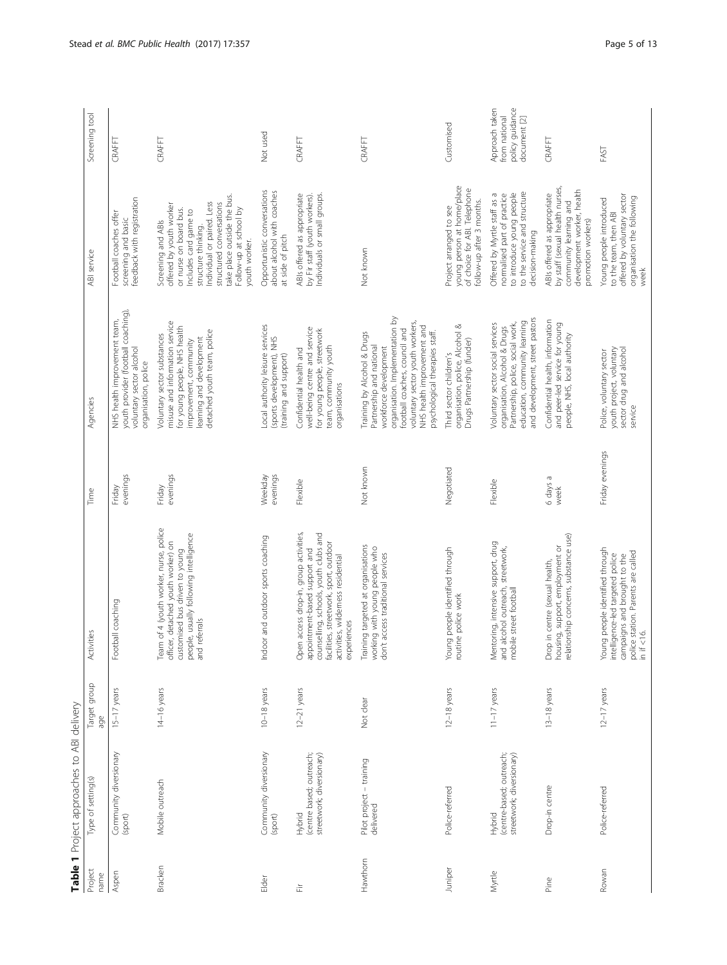<span id="page-4-0"></span>

|                 | Table 1 Project approaches to ABI delivery                      |                     |                                                                                                                                                                                                                |                     |                                                                                                                                                                                                                                                         |                                                                                                                                                                                                                                                             |                                                                    |
|-----------------|-----------------------------------------------------------------|---------------------|----------------------------------------------------------------------------------------------------------------------------------------------------------------------------------------------------------------|---------------------|---------------------------------------------------------------------------------------------------------------------------------------------------------------------------------------------------------------------------------------------------------|-------------------------------------------------------------------------------------------------------------------------------------------------------------------------------------------------------------------------------------------------------------|--------------------------------------------------------------------|
| Project<br>name | Type of setting(s)                                              | Target group<br>age | Activities                                                                                                                                                                                                     | Time                | Agencies                                                                                                                                                                                                                                                | ABI service                                                                                                                                                                                                                                                 | Screening tool                                                     |
| Aspen           | Community diversionary<br>(sport)                               | $15-17$ years       | Football coaching                                                                                                                                                                                              | evenings<br>Friday  | youth provider (football coaching),<br>NHS health improvement team,<br>voluntary sector alcohol<br>organisation, police                                                                                                                                 | feedback with registration<br>Football coaches offer<br>screening and basic                                                                                                                                                                                 | CRAFFT                                                             |
| Bracken         | Mobile outreach                                                 | 14-16 years         | Team of 4 (youth worker, nurse, police<br>people, usually following intelligence<br>officer, detached youth worker) on<br>customised bus driven to young<br>referrals<br>and                                   | evenings<br>Friday  | misuse and information service<br>for young people, NHS health<br>detached youth team, police<br>Voluntary sector substances<br>learning and development<br>improvement, community                                                                      | take place outside the bus.<br>Individual or paired. Less<br>structured conversations<br>offered by youth worker<br>Follow-up at school by<br>or nurse on board bus.<br>Includes card game to<br>Screening and ABIs<br>structure thinking.<br>youth worker. | CRAFFT                                                             |
| Elder           | Community diversionary<br>(sport)                               | $10-18$ years       | Indoor and outdoor sports coaching                                                                                                                                                                             | evenings<br>Weekday | Local authority leisure services<br>(sports development), NHS<br>(training and support)                                                                                                                                                                 | Opportunistic conversations<br>about alcohol with coaches<br>at side of pitch                                                                                                                                                                               | Not used                                                           |
| 迮               | (centre based; outreach;<br>streetwork; diversionary)<br>Hybrid | $12-21$ years       | counselling, schools, youth clubs and<br>Open access drop-in, group activities,<br>facilities, streetwork, sport, outdoor<br>appointment-based support and<br>activities, wildemess residential<br>experiences | Flexible            | well-being centre and service<br>for young people, streetwork<br>team, community youth<br>Confidential health and<br>organisations                                                                                                                      | Individuals or small groups.<br>ABIs offered as appropriate<br>by Fir staff (youth workers).                                                                                                                                                                | CRAFFT                                                             |
| Hawthorn        | Pilot project - training<br>delivered                           | Not clear           | Training targeted at organisations<br>working with young people who<br>don't access traditional services                                                                                                       | Not known           | organisation. Implementation by<br>voluntary sector youth workers,<br>NHS health improvement and<br>football coaches, council and<br>Training by Alcohol & Drugs<br>psychological therapies staff.<br>Partnership and national<br>workforce development | Not known                                                                                                                                                                                                                                                   | CRAFFT                                                             |
| Juniper         | Police-referred                                                 | $12-18$ years       | Young people identified through<br>routine police work                                                                                                                                                         | Negotiated          | organisation, police, Alcohol &<br>Drugs Partnership (funder)<br>Third sector children's                                                                                                                                                                | young person at home/place<br>of choice for ABI. Telephone<br>follow-up after 3 months.<br>Project arranged to see                                                                                                                                          | Customised                                                         |
| Myrtle          | (centre-based; outreach;<br>streetwork; diversionary)<br>Hybrid | $11-17$ years       | Mentoring, intensive support, drug<br>and alcohol outreach, streetwork,<br>mobile street football                                                                                                              | Flexible            | and development, street pastors<br>education, community learning<br>Partnership, police, social work,<br>Voluntary sector social services<br>organisation, Alcohol & Drugs                                                                              | to the service and structure<br>to introduce young people<br>Offered by Myrtle staff as a<br>normalised part of practice<br>decision-making                                                                                                                 | policy guidance<br>Approach taken<br>from national<br>document [2] |
| Pine            | Drop-in centre                                                  | 13-18 years         | relationship concerns, substance use)<br>housing, support, employment or<br>Drop in centre (sexual health,                                                                                                     | 6 days a<br>week    | Confidential health, information<br>and peer-led service for young<br>people, NHS, local authority                                                                                                                                                      | by staff (sexual health nurses,<br>development worker, health<br>ABIs offered as appropriate<br>community learning and<br>promotion workers)                                                                                                                | CRAFFT                                                             |
| Rowan           | Police-referred                                                 | $12-17$ years       | Young people identified through<br>police station. Parents are called<br>in if <16.<br>intelligence-led targeted police<br>campaigns and brought to the                                                        | Friday evenings     | youth project, voluntary<br>sector drug and alcohol<br>Police, voluntary sector<br>service                                                                                                                                                              | offered by voluntary sector<br>organisation the following<br>Young people introduced<br>to the team, then ABI<br>week                                                                                                                                       | FAST                                                               |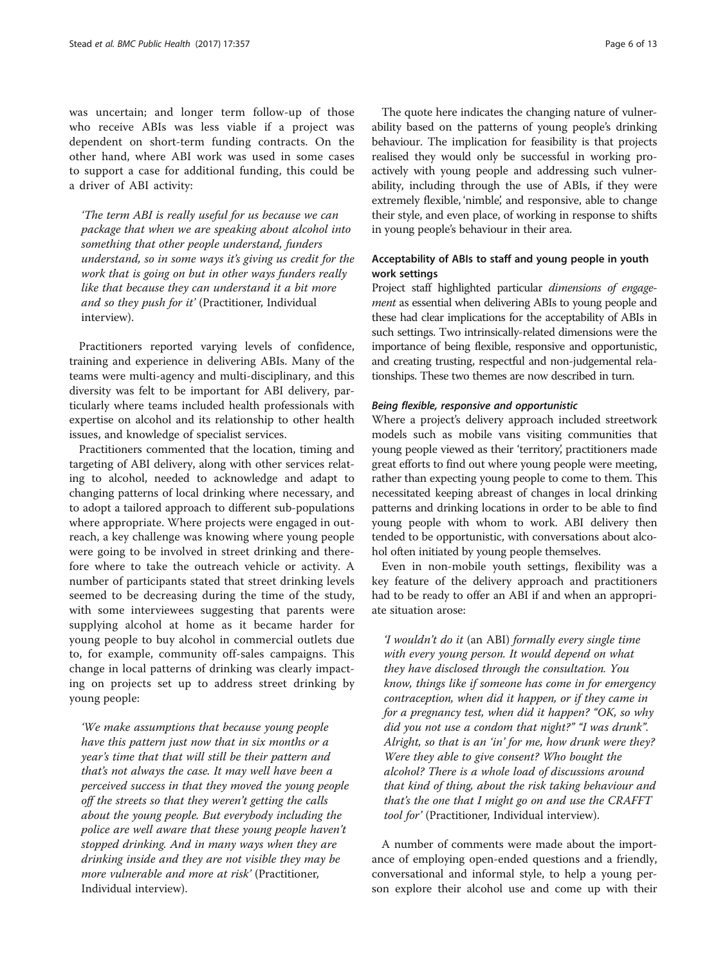was uncertain; and longer term follow-up of those who receive ABIs was less viable if a project was dependent on short-term funding contracts. On the other hand, where ABI work was used in some cases to support a case for additional funding, this could be a driver of ABI activity:

'The term ABI is really useful for us because we can package that when we are speaking about alcohol into something that other people understand, funders understand, so in some ways it's giving us credit for the work that is going on but in other ways funders really like that because they can understand it a bit more and so they push for it' (Practitioner, Individual interview).

Practitioners reported varying levels of confidence, training and experience in delivering ABIs. Many of the teams were multi-agency and multi-disciplinary, and this diversity was felt to be important for ABI delivery, particularly where teams included health professionals with expertise on alcohol and its relationship to other health issues, and knowledge of specialist services.

Practitioners commented that the location, timing and targeting of ABI delivery, along with other services relating to alcohol, needed to acknowledge and adapt to changing patterns of local drinking where necessary, and to adopt a tailored approach to different sub-populations where appropriate. Where projects were engaged in outreach, a key challenge was knowing where young people were going to be involved in street drinking and therefore where to take the outreach vehicle or activity. A number of participants stated that street drinking levels seemed to be decreasing during the time of the study, with some interviewees suggesting that parents were supplying alcohol at home as it became harder for young people to buy alcohol in commercial outlets due to, for example, community off-sales campaigns. This change in local patterns of drinking was clearly impacting on projects set up to address street drinking by young people:

'We make assumptions that because young people have this pattern just now that in six months or a year's time that that will still be their pattern and that's not always the case. It may well have been a perceived success in that they moved the young people off the streets so that they weren't getting the calls about the young people. But everybody including the police are well aware that these young people haven't stopped drinking. And in many ways when they are drinking inside and they are not visible they may be more vulnerable and more at risk' (Practitioner, Individual interview).

The quote here indicates the changing nature of vulnerability based on the patterns of young people's drinking behaviour. The implication for feasibility is that projects realised they would only be successful in working proactively with young people and addressing such vulnerability, including through the use of ABIs, if they were extremely flexible, 'nimble', and responsive, able to change their style, and even place, of working in response to shifts in young people's behaviour in their area.

## Acceptability of ABIs to staff and young people in youth work settings

Project staff highlighted particular *dimensions of engage*ment as essential when delivering ABIs to young people and these had clear implications for the acceptability of ABIs in such settings. Two intrinsically-related dimensions were the importance of being flexible, responsive and opportunistic, and creating trusting, respectful and non-judgemental relationships. These two themes are now described in turn.

## Being flexible, responsive and opportunistic

Where a project's delivery approach included streetwork models such as mobile vans visiting communities that young people viewed as their 'territory', practitioners made great efforts to find out where young people were meeting, rather than expecting young people to come to them. This necessitated keeping abreast of changes in local drinking patterns and drinking locations in order to be able to find young people with whom to work. ABI delivery then tended to be opportunistic, with conversations about alcohol often initiated by young people themselves.

Even in non-mobile youth settings, flexibility was a key feature of the delivery approach and practitioners had to be ready to offer an ABI if and when an appropriate situation arose:

'I wouldn't do it (an ABI) formally every single time with every young person. It would depend on what they have disclosed through the consultation. You know, things like if someone has come in for emergency contraception, when did it happen, or if they came in for a pregnancy test, when did it happen? "OK, so why did you not use a condom that night?" "I was drunk". Alright, so that is an 'in' for me, how drunk were they? Were they able to give consent? Who bought the alcohol? There is a whole load of discussions around that kind of thing, about the risk taking behaviour and that's the one that I might go on and use the CRAFFT tool for' (Practitioner, Individual interview).

A number of comments were made about the importance of employing open-ended questions and a friendly, conversational and informal style, to help a young person explore their alcohol use and come up with their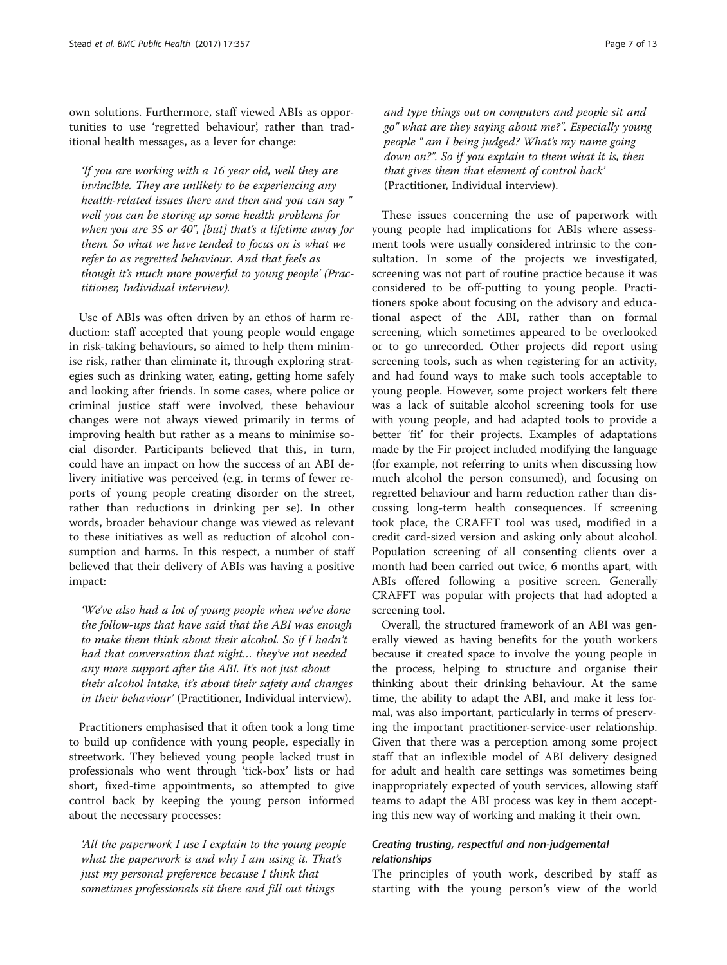own solutions. Furthermore, staff viewed ABIs as opportunities to use 'regretted behaviour', rather than traditional health messages, as a lever for change:

'If you are working with a 16 year old, well they are invincible. They are unlikely to be experiencing any health-related issues there and then and you can say " well you can be storing up some health problems for when you are 35 or 40", [but] that's a lifetime away for them. So what we have tended to focus on is what we refer to as regretted behaviour. And that feels as though it's much more powerful to young people' (Practitioner, Individual interview).

Use of ABIs was often driven by an ethos of harm reduction: staff accepted that young people would engage in risk-taking behaviours, so aimed to help them minimise risk, rather than eliminate it, through exploring strategies such as drinking water, eating, getting home safely and looking after friends. In some cases, where police or criminal justice staff were involved, these behaviour changes were not always viewed primarily in terms of improving health but rather as a means to minimise social disorder. Participants believed that this, in turn, could have an impact on how the success of an ABI delivery initiative was perceived (e.g. in terms of fewer reports of young people creating disorder on the street, rather than reductions in drinking per se). In other words, broader behaviour change was viewed as relevant to these initiatives as well as reduction of alcohol consumption and harms. In this respect, a number of staff believed that their delivery of ABIs was having a positive impact:

'We've also had a lot of young people when we've done the follow-ups that have said that the ABI was enough to make them think about their alcohol. So if I hadn't had that conversation that night… they've not needed any more support after the ABI. It's not just about their alcohol intake, it's about their safety and changes in their behaviour' (Practitioner, Individual interview).

Practitioners emphasised that it often took a long time to build up confidence with young people, especially in streetwork. They believed young people lacked trust in professionals who went through 'tick-box' lists or had short, fixed-time appointments, so attempted to give control back by keeping the young person informed about the necessary processes:

'All the paperwork I use I explain to the young people what the paperwork is and why I am using it. That's just my personal preference because I think that sometimes professionals sit there and fill out things

and type things out on computers and people sit and go" what are they saying about me?". Especially young people " am I being judged? What's my name going down on?". So if you explain to them what it is, then that gives them that element of control back' (Practitioner, Individual interview).

These issues concerning the use of paperwork with young people had implications for ABIs where assessment tools were usually considered intrinsic to the consultation. In some of the projects we investigated, screening was not part of routine practice because it was considered to be off-putting to young people. Practitioners spoke about focusing on the advisory and educational aspect of the ABI, rather than on formal screening, which sometimes appeared to be overlooked or to go unrecorded. Other projects did report using screening tools, such as when registering for an activity, and had found ways to make such tools acceptable to young people. However, some project workers felt there was a lack of suitable alcohol screening tools for use with young people, and had adapted tools to provide a better 'fit' for their projects. Examples of adaptations made by the Fir project included modifying the language (for example, not referring to units when discussing how much alcohol the person consumed), and focusing on regretted behaviour and harm reduction rather than discussing long-term health consequences. If screening took place, the CRAFFT tool was used, modified in a credit card-sized version and asking only about alcohol. Population screening of all consenting clients over a month had been carried out twice, 6 months apart, with ABIs offered following a positive screen. Generally CRAFFT was popular with projects that had adopted a screening tool.

Overall, the structured framework of an ABI was generally viewed as having benefits for the youth workers because it created space to involve the young people in the process, helping to structure and organise their thinking about their drinking behaviour. At the same time, the ability to adapt the ABI, and make it less formal, was also important, particularly in terms of preserving the important practitioner-service-user relationship. Given that there was a perception among some project staff that an inflexible model of ABI delivery designed for adult and health care settings was sometimes being inappropriately expected of youth services, allowing staff teams to adapt the ABI process was key in them accepting this new way of working and making it their own.

## Creating trusting, respectful and non-judgemental relationships

The principles of youth work, described by staff as starting with the young person's view of the world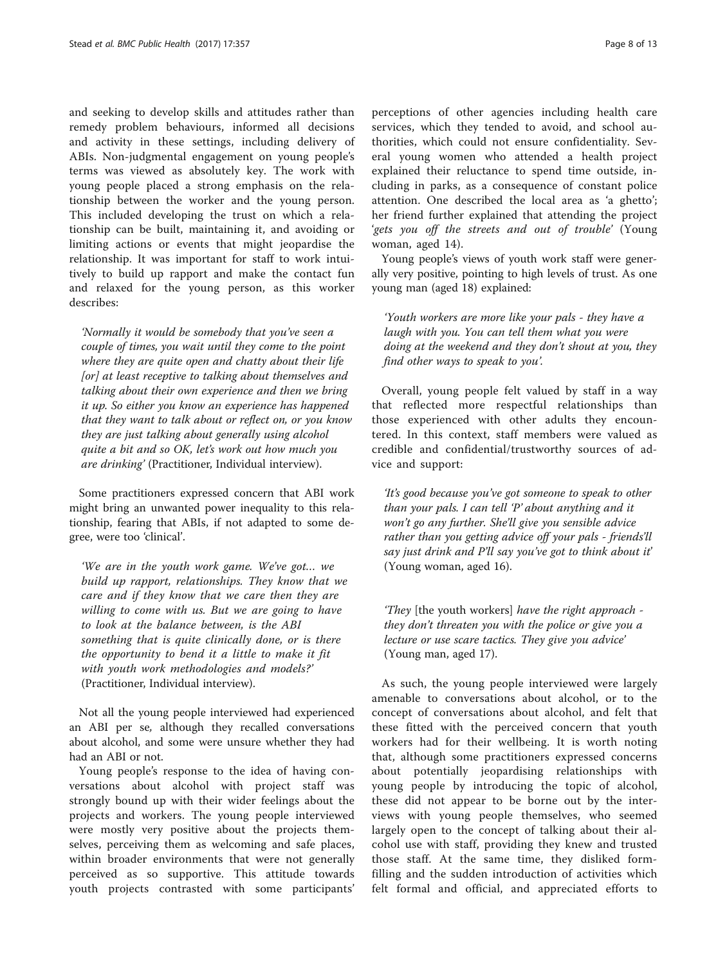and seeking to develop skills and attitudes rather than remedy problem behaviours, informed all decisions and activity in these settings, including delivery of ABIs. Non-judgmental engagement on young people's terms was viewed as absolutely key. The work with young people placed a strong emphasis on the relationship between the worker and the young person. This included developing the trust on which a relationship can be built, maintaining it, and avoiding or limiting actions or events that might jeopardise the relationship. It was important for staff to work intuitively to build up rapport and make the contact fun and relaxed for the young person, as this worker describes:

'Normally it would be somebody that you've seen a couple of times, you wait until they come to the point where they are quite open and chatty about their life [or] at least receptive to talking about themselves and talking about their own experience and then we bring it up. So either you know an experience has happened that they want to talk about or reflect on, or you know they are just talking about generally using alcohol quite a bit and so OK, let's work out how much you are drinking' (Practitioner, Individual interview).

Some practitioners expressed concern that ABI work might bring an unwanted power inequality to this relationship, fearing that ABIs, if not adapted to some degree, were too 'clinical'.

'We are in the youth work game. We've got… we build up rapport, relationships. They know that we care and if they know that we care then they are willing to come with us. But we are going to have to look at the balance between, is the ABI something that is quite clinically done, or is there the opportunity to bend it a little to make it fit with youth work methodologies and models?' (Practitioner, Individual interview).

Not all the young people interviewed had experienced an ABI per se, although they recalled conversations about alcohol, and some were unsure whether they had had an ABI or not.

Young people's response to the idea of having conversations about alcohol with project staff was strongly bound up with their wider feelings about the projects and workers. The young people interviewed were mostly very positive about the projects themselves, perceiving them as welcoming and safe places, within broader environments that were not generally perceived as so supportive. This attitude towards youth projects contrasted with some participants'

perceptions of other agencies including health care services, which they tended to avoid, and school authorities, which could not ensure confidentiality. Several young women who attended a health project explained their reluctance to spend time outside, including in parks, as a consequence of constant police attention. One described the local area as 'a ghetto'; her friend further explained that attending the project 'gets you off the streets and out of trouble' (Young woman, aged 14).

Young people's views of youth work staff were generally very positive, pointing to high levels of trust. As one young man (aged 18) explained:

'Youth workers are more like your pals - they have a laugh with you. You can tell them what you were doing at the weekend and they don't shout at you, they find other ways to speak to you'.

Overall, young people felt valued by staff in a way that reflected more respectful relationships than those experienced with other adults they encountered. In this context, staff members were valued as credible and confidential/trustworthy sources of advice and support:

'It's good because you've got someone to speak to other than your pals. I can tell 'P' about anything and it won't go any further. She'll give you sensible advice rather than you getting advice off your pals - friends'll say just drink and P'll say you've got to think about it' (Young woman, aged 16).

'They [the youth workers] have the right approach they don't threaten you with the police or give you a lecture or use scare tactics. They give you advice' (Young man, aged 17).

As such, the young people interviewed were largely amenable to conversations about alcohol, or to the concept of conversations about alcohol, and felt that these fitted with the perceived concern that youth workers had for their wellbeing. It is worth noting that, although some practitioners expressed concerns about potentially jeopardising relationships with young people by introducing the topic of alcohol, these did not appear to be borne out by the interviews with young people themselves, who seemed largely open to the concept of talking about their alcohol use with staff, providing they knew and trusted those staff. At the same time, they disliked formfilling and the sudden introduction of activities which felt formal and official, and appreciated efforts to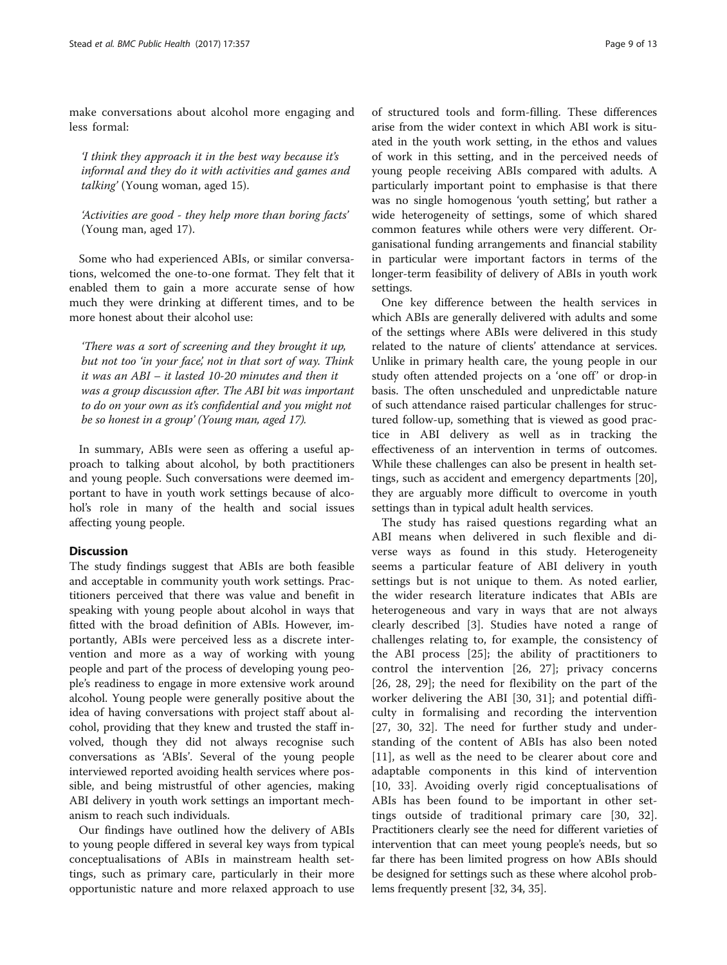make conversations about alcohol more engaging and less formal:

'I think they approach it in the best way because it's informal and they do it with activities and games and talking' (Young woman, aged 15).

'Activities are good - they help more than boring facts' (Young man, aged 17).

Some who had experienced ABIs, or similar conversations, welcomed the one-to-one format. They felt that it enabled them to gain a more accurate sense of how much they were drinking at different times, and to be more honest about their alcohol use:

'There was a sort of screening and they brought it up, but not too 'in your face', not in that sort of way. Think it was an ABI – it lasted 10-20 minutes and then it was a group discussion after. The ABI bit was important to do on your own as it's confidential and you might not be so honest in a group' (Young man, aged 17).

In summary, ABIs were seen as offering a useful approach to talking about alcohol, by both practitioners and young people. Such conversations were deemed important to have in youth work settings because of alcohol's role in many of the health and social issues affecting young people.

## **Discussion**

The study findings suggest that ABIs are both feasible and acceptable in community youth work settings. Practitioners perceived that there was value and benefit in speaking with young people about alcohol in ways that fitted with the broad definition of ABIs. However, importantly, ABIs were perceived less as a discrete intervention and more as a way of working with young people and part of the process of developing young people's readiness to engage in more extensive work around alcohol. Young people were generally positive about the idea of having conversations with project staff about alcohol, providing that they knew and trusted the staff involved, though they did not always recognise such conversations as 'ABIs'. Several of the young people interviewed reported avoiding health services where possible, and being mistrustful of other agencies, making ABI delivery in youth work settings an important mechanism to reach such individuals.

Our findings have outlined how the delivery of ABIs to young people differed in several key ways from typical conceptualisations of ABIs in mainstream health settings, such as primary care, particularly in their more opportunistic nature and more relaxed approach to use

of structured tools and form-filling. These differences arise from the wider context in which ABI work is situated in the youth work setting, in the ethos and values of work in this setting, and in the perceived needs of young people receiving ABIs compared with adults. A particularly important point to emphasise is that there was no single homogenous 'youth setting', but rather a wide heterogeneity of settings, some of which shared common features while others were very different. Organisational funding arrangements and financial stability in particular were important factors in terms of the longer-term feasibility of delivery of ABIs in youth work settings.

One key difference between the health services in which ABIs are generally delivered with adults and some of the settings where ABIs were delivered in this study related to the nature of clients' attendance at services. Unlike in primary health care, the young people in our study often attended projects on a 'one off' or drop-in basis. The often unscheduled and unpredictable nature of such attendance raised particular challenges for structured follow-up, something that is viewed as good practice in ABI delivery as well as in tracking the effectiveness of an intervention in terms of outcomes. While these challenges can also be present in health settings, such as accident and emergency departments [\[20](#page-11-0)], they are arguably more difficult to overcome in youth settings than in typical adult health services.

The study has raised questions regarding what an ABI means when delivered in such flexible and diverse ways as found in this study. Heterogeneity seems a particular feature of ABI delivery in youth settings but is not unique to them. As noted earlier, the wider research literature indicates that ABIs are heterogeneous and vary in ways that are not always clearly described [[3\]](#page-11-0). Studies have noted a range of challenges relating to, for example, the consistency of the ABI process [\[25](#page-11-0)]; the ability of practitioners to control the intervention [\[26](#page-11-0), [27](#page-11-0)]; privacy concerns [[26, 28](#page-11-0), [29\]](#page-11-0); the need for flexibility on the part of the worker delivering the ABI [[30](#page-11-0), [31](#page-11-0)]; and potential difficulty in formalising and recording the intervention [[27, 30, 32](#page-11-0)]. The need for further study and understanding of the content of ABIs has also been noted [[11\]](#page-11-0), as well as the need to be clearer about core and adaptable components in this kind of intervention [[10,](#page-11-0) [33](#page-12-0)]. Avoiding overly rigid conceptualisations of ABIs has been found to be important in other settings outside of traditional primary care [[30, 32](#page-11-0)]. Practitioners clearly see the need for different varieties of intervention that can meet young people's needs, but so far there has been limited progress on how ABIs should be designed for settings such as these where alcohol problems frequently present [\[32,](#page-11-0) [34](#page-12-0), [35\]](#page-12-0).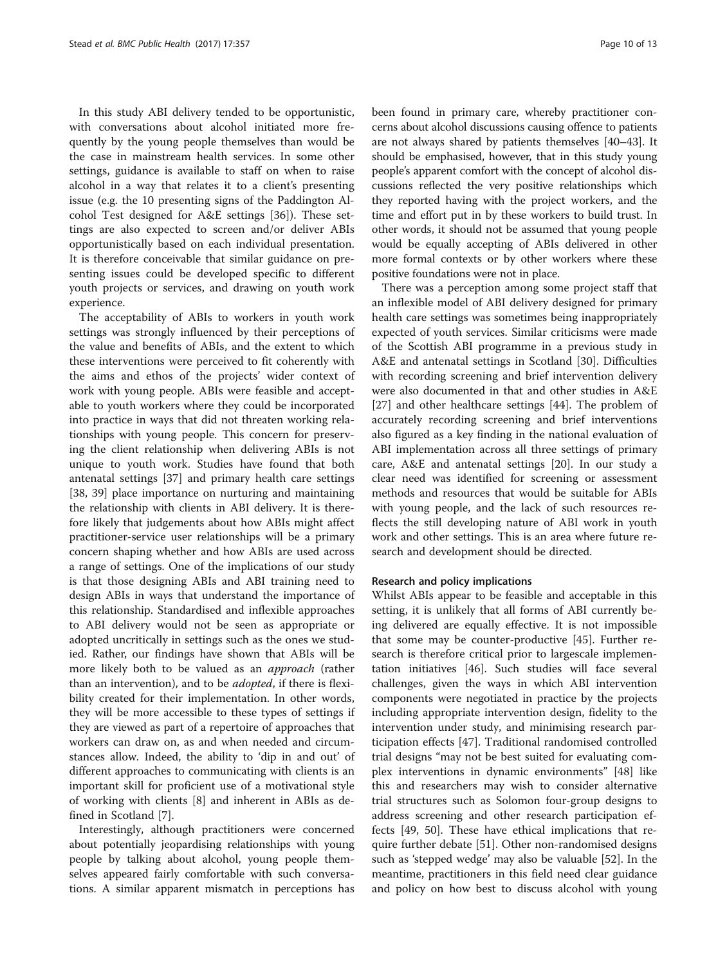In this study ABI delivery tended to be opportunistic, with conversations about alcohol initiated more frequently by the young people themselves than would be the case in mainstream health services. In some other settings, guidance is available to staff on when to raise alcohol in a way that relates it to a client's presenting issue (e.g. the 10 presenting signs of the Paddington Alcohol Test designed for A&E settings [\[36](#page-12-0)]). These settings are also expected to screen and/or deliver ABIs opportunistically based on each individual presentation. It is therefore conceivable that similar guidance on presenting issues could be developed specific to different youth projects or services, and drawing on youth work experience.

The acceptability of ABIs to workers in youth work settings was strongly influenced by their perceptions of the value and benefits of ABIs, and the extent to which these interventions were perceived to fit coherently with the aims and ethos of the projects' wider context of work with young people. ABIs were feasible and acceptable to youth workers where they could be incorporated into practice in ways that did not threaten working relationships with young people. This concern for preserving the client relationship when delivering ABIs is not unique to youth work. Studies have found that both antenatal settings [[37](#page-12-0)] and primary health care settings [[38, 39](#page-12-0)] place importance on nurturing and maintaining the relationship with clients in ABI delivery. It is therefore likely that judgements about how ABIs might affect practitioner-service user relationships will be a primary concern shaping whether and how ABIs are used across a range of settings. One of the implications of our study is that those designing ABIs and ABI training need to design ABIs in ways that understand the importance of this relationship. Standardised and inflexible approaches to ABI delivery would not be seen as appropriate or adopted uncritically in settings such as the ones we studied. Rather, our findings have shown that ABIs will be more likely both to be valued as an *approach* (rather than an intervention), and to be *adopted*, if there is flexibility created for their implementation. In other words, they will be more accessible to these types of settings if they are viewed as part of a repertoire of approaches that workers can draw on, as and when needed and circumstances allow. Indeed, the ability to 'dip in and out' of different approaches to communicating with clients is an important skill for proficient use of a motivational style of working with clients [[8\]](#page-11-0) and inherent in ABIs as defined in Scotland [\[7](#page-11-0)].

Interestingly, although practitioners were concerned about potentially jeopardising relationships with young people by talking about alcohol, young people themselves appeared fairly comfortable with such conversations. A similar apparent mismatch in perceptions has been found in primary care, whereby practitioner concerns about alcohol discussions causing offence to patients are not always shared by patients themselves [\[40](#page-12-0)–[43](#page-12-0)]. It should be emphasised, however, that in this study young people's apparent comfort with the concept of alcohol discussions reflected the very positive relationships which they reported having with the project workers, and the time and effort put in by these workers to build trust. In other words, it should not be assumed that young people would be equally accepting of ABIs delivered in other more formal contexts or by other workers where these positive foundations were not in place.

There was a perception among some project staff that an inflexible model of ABI delivery designed for primary health care settings was sometimes being inappropriately expected of youth services. Similar criticisms were made of the Scottish ABI programme in a previous study in A&E and antenatal settings in Scotland [[30\]](#page-11-0). Difficulties with recording screening and brief intervention delivery were also documented in that and other studies in A&E [[27\]](#page-11-0) and other healthcare settings [\[44](#page-12-0)]. The problem of accurately recording screening and brief interventions also figured as a key finding in the national evaluation of ABI implementation across all three settings of primary care, A&E and antenatal settings [[20](#page-11-0)]. In our study a clear need was identified for screening or assessment methods and resources that would be suitable for ABIs with young people, and the lack of such resources reflects the still developing nature of ABI work in youth work and other settings. This is an area where future research and development should be directed.

#### Research and policy implications

Whilst ABIs appear to be feasible and acceptable in this setting, it is unlikely that all forms of ABI currently being delivered are equally effective. It is not impossible that some may be counter-productive [\[45](#page-12-0)]. Further research is therefore critical prior to largescale implementation initiatives [[46\]](#page-12-0). Such studies will face several challenges, given the ways in which ABI intervention components were negotiated in practice by the projects including appropriate intervention design, fidelity to the intervention under study, and minimising research participation effects [[47\]](#page-12-0). Traditional randomised controlled trial designs "may not be best suited for evaluating complex interventions in dynamic environments" [\[48\]](#page-12-0) like this and researchers may wish to consider alternative trial structures such as Solomon four-group designs to address screening and other research participation effects [\[49](#page-12-0), [50\]](#page-12-0). These have ethical implications that require further debate [[51\]](#page-12-0). Other non-randomised designs such as 'stepped wedge' may also be valuable [[52\]](#page-12-0). In the meantime, practitioners in this field need clear guidance and policy on how best to discuss alcohol with young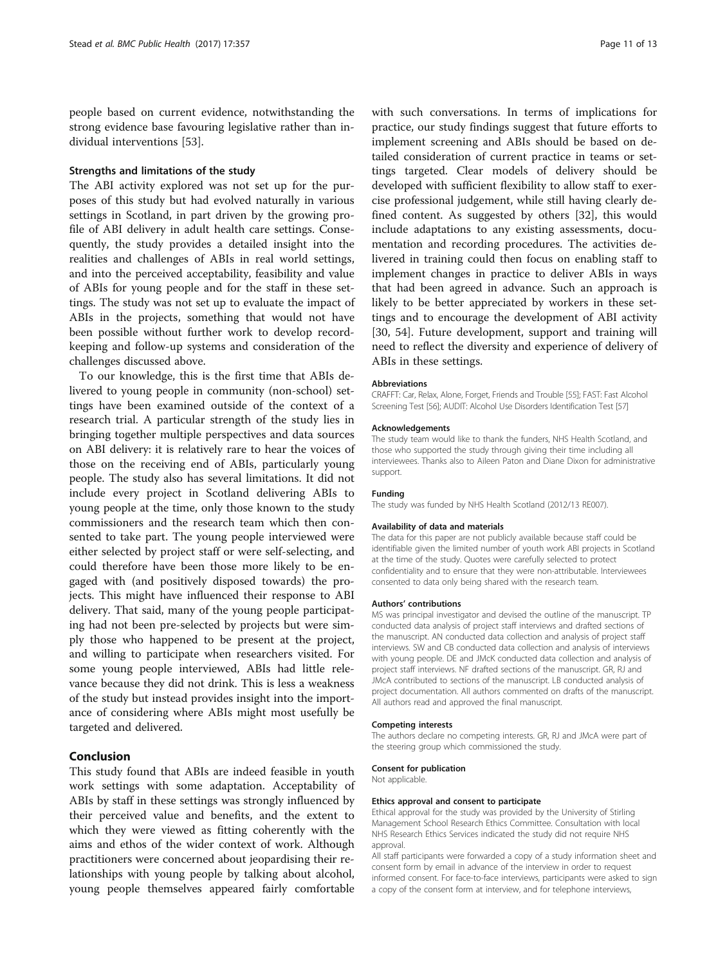people based on current evidence, notwithstanding the strong evidence base favouring legislative rather than individual interventions [[53\]](#page-12-0).

#### Strengths and limitations of the study

The ABI activity explored was not set up for the purposes of this study but had evolved naturally in various settings in Scotland, in part driven by the growing profile of ABI delivery in adult health care settings. Consequently, the study provides a detailed insight into the realities and challenges of ABIs in real world settings, and into the perceived acceptability, feasibility and value of ABIs for young people and for the staff in these settings. The study was not set up to evaluate the impact of ABIs in the projects, something that would not have been possible without further work to develop recordkeeping and follow-up systems and consideration of the challenges discussed above.

To our knowledge, this is the first time that ABIs delivered to young people in community (non-school) settings have been examined outside of the context of a research trial. A particular strength of the study lies in bringing together multiple perspectives and data sources on ABI delivery: it is relatively rare to hear the voices of those on the receiving end of ABIs, particularly young people. The study also has several limitations. It did not include every project in Scotland delivering ABIs to young people at the time, only those known to the study commissioners and the research team which then consented to take part. The young people interviewed were either selected by project staff or were self-selecting, and could therefore have been those more likely to be engaged with (and positively disposed towards) the projects. This might have influenced their response to ABI delivery. That said, many of the young people participating had not been pre-selected by projects but were simply those who happened to be present at the project, and willing to participate when researchers visited. For some young people interviewed, ABIs had little relevance because they did not drink. This is less a weakness of the study but instead provides insight into the importance of considering where ABIs might most usefully be targeted and delivered.

#### Conclusion

This study found that ABIs are indeed feasible in youth work settings with some adaptation. Acceptability of ABIs by staff in these settings was strongly influenced by their perceived value and benefits, and the extent to which they were viewed as fitting coherently with the aims and ethos of the wider context of work. Although practitioners were concerned about jeopardising their relationships with young people by talking about alcohol, young people themselves appeared fairly comfortable

with such conversations. In terms of implications for practice, our study findings suggest that future efforts to implement screening and ABIs should be based on detailed consideration of current practice in teams or settings targeted. Clear models of delivery should be developed with sufficient flexibility to allow staff to exercise professional judgement, while still having clearly defined content. As suggested by others [\[32](#page-11-0)], this would include adaptations to any existing assessments, documentation and recording procedures. The activities delivered in training could then focus on enabling staff to implement changes in practice to deliver ABIs in ways that had been agreed in advance. Such an approach is likely to be better appreciated by workers in these settings and to encourage the development of ABI activity [[30,](#page-11-0) [54\]](#page-12-0). Future development, support and training will need to reflect the diversity and experience of delivery of ABIs in these settings.

#### **Abbreviations**

CRAFFT: Car, Relax, Alone, Forget, Friends and Trouble [[55\]](#page-12-0); FAST: Fast Alcohol Screening Test [\[56](#page-12-0)]; AUDIT: Alcohol Use Disorders Identification Test [\[57](#page-12-0)]

#### Acknowledgements

The study team would like to thank the funders, NHS Health Scotland, and those who supported the study through giving their time including all interviewees. Thanks also to Aileen Paton and Diane Dixon for administrative support.

#### Funding

The study was funded by NHS Health Scotland (2012/13 RE007).

#### Availability of data and materials

The data for this paper are not publicly available because staff could be identifiable given the limited number of youth work ABI projects in Scotland at the time of the study. Quotes were carefully selected to protect confidentiality and to ensure that they were non-attributable. Interviewees consented to data only being shared with the research team.

#### Authors' contributions

MS was principal investigator and devised the outline of the manuscript. TP conducted data analysis of project staff interviews and drafted sections of the manuscript. AN conducted data collection and analysis of project staff interviews. SW and CB conducted data collection and analysis of interviews with young people. DE and JMcK conducted data collection and analysis of project staff interviews. NF drafted sections of the manuscript. GR, RJ and JMcA contributed to sections of the manuscript. LB conducted analysis of project documentation. All authors commented on drafts of the manuscript. All authors read and approved the final manuscript.

#### Competing interests

The authors declare no competing interests. GR, RJ and JMcA were part of the steering group which commissioned the study.

#### Consent for publication

Not applicable.

#### Ethics approval and consent to participate

Ethical approval for the study was provided by the University of Stirling Management School Research Ethics Committee. Consultation with local NHS Research Ethics Services indicated the study did not require NHS approval.

All staff participants were forwarded a copy of a study information sheet and consent form by email in advance of the interview in order to request informed consent. For face-to-face interviews, participants were asked to sign a copy of the consent form at interview, and for telephone interviews,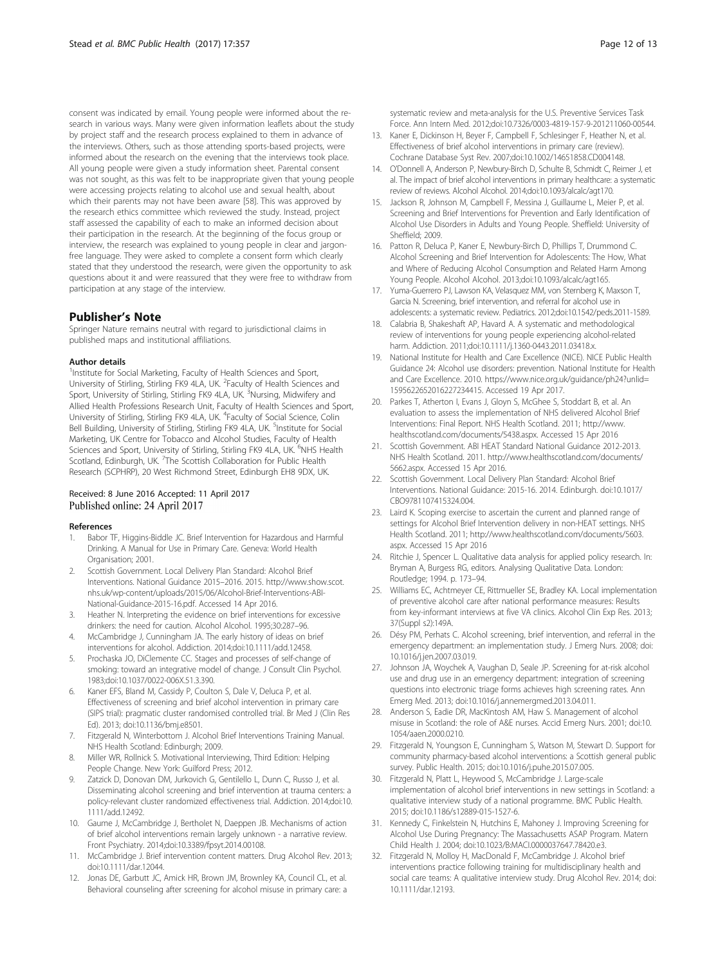<span id="page-11-0"></span>consent was indicated by email. Young people were informed about the research in various ways. Many were given information leaflets about the study by project staff and the research process explained to them in advance of the interviews. Others, such as those attending sports-based projects, were informed about the research on the evening that the interviews took place. All young people were given a study information sheet. Parental consent was not sought, as this was felt to be inappropriate given that young people were accessing projects relating to alcohol use and sexual health, about which their parents may not have been aware [\[58](#page-12-0)]. This was approved by the research ethics committee which reviewed the study. Instead, project staff assessed the capability of each to make an informed decision about their participation in the research. At the beginning of the focus group or interview, the research was explained to young people in clear and jargonfree language. They were asked to complete a consent form which clearly stated that they understood the research, were given the opportunity to ask questions about it and were reassured that they were free to withdraw from participation at any stage of the interview.

#### Publisher's Note

Springer Nature remains neutral with regard to jurisdictional claims in published maps and institutional affiliations.

#### Author details

<sup>1</sup>Institute for Social Marketing, Faculty of Health Sciences and Sport, University of Stirling, Stirling FK9 4LA, UK. <sup>2</sup>Faculty of Health Sciences and Sport, University of Stirling, Stirling FK9 4LA, UK. <sup>3</sup>Nursing, Midwifery and Allied Health Professions Research Unit, Faculty of Health Sciences and Sport, University of Stirling, Stirling FK9 4LA, UK. <sup>4</sup>Faculty of Social Science, Colin Bell Building, University of Stirling, Stirling FK9 4LA, UK. <sup>5</sup>Institute for Social Marketing, UK Centre for Tobacco and Alcohol Studies, Faculty of Health Sciences and Sport, University of Stirling, Stirling FK9 4LA, UK. <sup>6</sup>NHS Health Scotland, Edinburgh, UK. <sup>7</sup>The Scottish Collaboration for Public Health Research (SCPHRP), 20 West Richmond Street, Edinburgh EH8 9DX, UK.

#### Received: 8 June 2016 Accepted: 11 April 2017 Published online: 24 April 2017

#### References

- 1. Babor TF, Higgins-Biddle JC. Brief Intervention for Hazardous and Harmful Drinking. A Manual for Use in Primary Care. Geneva: World Health Organisation; 2001.
- 2. Scottish Government. Local Delivery Plan Standard: Alcohol Brief Interventions. National Guidance 2015–2016. 2015. [http://www.show.scot.](http://www.show.scot.nhs.uk/wp-content/uploads/2015/06/Alcohol-Brief-Interventions-ABI-National-Guidance-2015-16.pdf) [nhs.uk/wp-content/uploads/2015/06/Alcohol-Brief-Interventions-ABI-](http://www.show.scot.nhs.uk/wp-content/uploads/2015/06/Alcohol-Brief-Interventions-ABI-National-Guidance-2015-16.pdf)[National-Guidance-2015-16.pdf.](http://www.show.scot.nhs.uk/wp-content/uploads/2015/06/Alcohol-Brief-Interventions-ABI-National-Guidance-2015-16.pdf) Accessed 14 Apr 2016.
- 3. Heather N. Interpreting the evidence on brief interventions for excessive drinkers: the need for caution. Alcohol Alcohol. 1995;30:287–96.
- McCambridge J, Cunningham JA. The early history of ideas on brief interventions for alcohol. Addiction. 2014;doi:[10.1111/add.12458](http://dx.doi.org/10.1111/add.12458).
- 5. Prochaska JO, DiClemente CC. Stages and processes of self-change of smoking: toward an integrative model of change. J Consult Clin Psychol. 1983;doi:[10.1037/0022-006X.51.3.390.](http://dx.doi.org/10.1037/0022-006X.51.3.390)
- Kaner EFS, Bland M, Cassidy P, Coulton S, Dale V, Deluca P, et al. Effectiveness of screening and brief alcohol intervention in primary care (SIPS trial): pragmatic cluster randomised controlled trial. Br Med J (Clin Res Ed). 2013; doi[:10.1136/bmj.e8501.](http://dx.doi.org/10.1136/bmj.e8501)
- 7. Fitzgerald N, Winterbottom J. Alcohol Brief Interventions Training Manual. NHS Health Scotland: Edinburgh; 2009.
- 8. Miller WR, Rollnick S. Motivational Interviewing, Third Edition: Helping People Change. New York: Guilford Press; 2012.
- Zatzick D, Donovan DM, Jurkovich G, Gentilello L, Dunn C, Russo J, et al. Disseminating alcohol screening and brief intervention at trauma centers: a policy-relevant cluster randomized effectiveness trial. Addiction. 2014;doi:[10.](http://dx.doi.org/10.1111/add.12492) [1111/add.12492.](http://dx.doi.org/10.1111/add.12492)
- 10. Gaume J, McCambridge J, Bertholet N, Daeppen JB. Mechanisms of action of brief alcohol interventions remain largely unknown - a narrative review. Front Psychiatry. 2014;doi:[10.3389/fpsyt.2014.00108](http://dx.doi.org/10.3389/fpsyt.2014.00108).
- 11. McCambridge J. Brief intervention content matters. Drug Alcohol Rev. 2013; doi[:10.1111/dar.12044.](http://dx.doi.org/10.1111/dar.12044)
- 12. Jonas DE, Garbutt JC, Amick HR, Brown JM, Brownley KA, Council CL, et al. Behavioral counseling after screening for alcohol misuse in primary care: a

systematic review and meta-analysis for the U.S. Preventive Services Task Force. Ann Intern Med. 2012;doi:[10.7326/0003-4819-157-9-201211060-00544.](http://dx.doi.org/10.7326/0003-4819-157-9-201211060-00544)

- 13. Kaner E, Dickinson H, Beyer F, Campbell F, Schlesinger F, Heather N, et al. Effectiveness of brief alcohol interventions in primary care (review). Cochrane Database Syst Rev. 2007;doi[:10.1002/14651858.CD004148.](http://dx.doi.org/10.1002/14651858.CD004148)
- 14. O'Donnell A, Anderson P, Newbury-Birch D, Schulte B, Schmidt C, Reimer J, et al. The impact of brief alcohol interventions in primary healthcare: a systematic review of reviews. Alcohol Alcohol. 2014;doi[:10.1093/alcalc/agt170.](http://dx.doi.org/10.1093/alcalc/agt170)
- 15. Jackson R, Johnson M, Campbell F, Messina J, Guillaume L, Meier P, et al. Screening and Brief Interventions for Prevention and Early Identification of Alcohol Use Disorders in Adults and Young People. Sheffield: University of Sheffield; 2009.
- 16. Patton R, Deluca P, Kaner E, Newbury-Birch D, Phillips T, Drummond C. Alcohol Screening and Brief Intervention for Adolescents: The How, What and Where of Reducing Alcohol Consumption and Related Harm Among Young People. Alcohol Alcohol. 2013;doi[:10.1093/alcalc/agt165.](http://dx.doi.org/10.1093/alcalc/agt165)
- 17. Yuma-Guerrero PJ, Lawson KA, Velasquez MM, von Sternberg K, Maxson T, Garcia N. Screening, brief intervention, and referral for alcohol use in adolescents: a systematic review. Pediatrics. 2012;doi[:10.1542/peds.2011-1589.](http://dx.doi.org/10.1542/peds.2011-1589)
- 18. Calabria B, Shakeshaft AP, Havard A. A systematic and methodological review of interventions for young people experiencing alcohol-related harm. Addiction. 2011;doi[:10.1111/j.1360-0443.2011.03418.x.](http://dx.doi.org/10.1111/j.1360-0443.2011.03418.x)
- 19. National Institute for Health and Care Excellence (NICE). NICE Public Health Guidance 24: Alcohol use disorders: prevention. National Institute for Health and Care Excellence. 2010. [https://www.nice.org.uk/guidance/ph24?unlid=](https://www.nice.org.uk/guidance/ph24?unlid=1595622652016227234415) [1595622652016227234415.](https://www.nice.org.uk/guidance/ph24?unlid=1595622652016227234415) Accessed 19 Apr 2017.
- 20. Parkes T, Atherton I, Evans J, Gloyn S, McGhee S, Stoddart B, et al. An evaluation to assess the implementation of NHS delivered Alcohol Brief Interventions: Final Report. NHS Health Scotland. 2011; [http://www.](http://www.healthscotland.com/documents/5438.aspx) [healthscotland.com/documents/5438.aspx.](http://www.healthscotland.com/documents/5438.aspx) Accessed 15 Apr 2016
- 21. Scottish Government. ABI HEAT Standard National Guidance 2012-2013. NHS Health Scotland. 2011. [http://www.healthscotland.com/documents/](http://www.healthscotland.com/documents/5662.aspx) [5662.aspx](http://www.healthscotland.com/documents/5662.aspx). Accessed 15 Apr 2016.
- 22. Scottish Government. Local Delivery Plan Standard: Alcohol Brief Interventions. National Guidance: 2015-16. 2014. Edinburgh. doi[:10.1017/](http://dx.doi.org/10.1017/CBO9781107415324.004) [CBO9781107415324.004.](http://dx.doi.org/10.1017/CBO9781107415324.004)
- 23. Laird K. Scoping exercise to ascertain the current and planned range of settings for Alcohol Brief Intervention delivery in non-HEAT settings. NHS Health Scotland. 2011; [http://www.healthscotland.com/documents/5603.](http://www.healthscotland.com/documents/5603.aspx) [aspx](http://www.healthscotland.com/documents/5603.aspx). Accessed 15 Apr 2016
- 24. Ritchie J, Spencer L. Qualitative data analysis for applied policy research. In: Bryman A, Burgess RG, editors. Analysing Qualitative Data. London: Routledge; 1994. p. 173–94.
- 25. Williams EC, Achtmeyer CE, Rittmueller SE, Bradley KA. Local implementation of preventive alcohol care after national performance measures: Results from key-informant interviews at five VA clinics. Alcohol Clin Exp Res. 2013; 37(Suppl s2):149A.
- 26. Désy PM, Perhats C. Alcohol screening, brief intervention, and referral in the emergency department: an implementation study. J Emerg Nurs. 2008; doi: [10.1016/j.jen.2007.03.019](http://dx.doi.org/10.1016/j.jen.2007.03.019).
- 27. Johnson JA, Woychek A, Vaughan D, Seale JP. Screening for at-risk alcohol use and drug use in an emergency department: integration of screening questions into electronic triage forms achieves high screening rates. Ann Emerg Med. 2013; doi:[10.1016/j.annemergmed.2013.04.011.](http://dx.doi.org/10.1016/j.annemergmed.2013.04.011)
- 28. Anderson S, Eadie DR, MacKintosh AM, Haw S. Management of alcohol misuse in Scotland: the role of A&E nurses. Accid Emerg Nurs. 2001; doi:[10.](http://dx.doi.org/10.1054/aaen.2000.0210) [1054/aaen.2000.0210](http://dx.doi.org/10.1054/aaen.2000.0210).
- 29. Fitzgerald N, Youngson E, Cunningham S, Watson M, Stewart D. Support for community pharmacy-based alcohol interventions: a Scottish general public survey. Public Health. 2015; doi:[10.1016/j.puhe.2015.07.005](http://dx.doi.org/10.1016/j.puhe.2015.07.005).
- 30. Fitzgerald N, Platt L, Heywood S, McCambridge J. Large-scale implementation of alcohol brief interventions in new settings in Scotland: a qualitative interview study of a national programme. BMC Public Health. 2015; doi[:10.1186/s12889-015-1527-6](http://dx.doi.org/10.1186/s12889-015-1527-6).
- 31. Kennedy C, Finkelstein N, Hutchins E, Mahoney J. Improving Screening for Alcohol Use During Pregnancy: The Massachusetts ASAP Program. Matern Child Health J. 2004; doi[:10.1023/B:MACI.0000037647.78420.e3.](http://dx.doi.org/10.1023/B:MACI.0000037647.78420.e3)
- 32. Fitzgerald N, Molloy H, MacDonald F, McCambridge J. Alcohol brief interventions practice following training for multidisciplinary health and social care teams: A qualitative interview study. Drug Alcohol Rev. 2014; doi: [10.1111/dar.12193](http://dx.doi.org/10.1111/dar.12193).